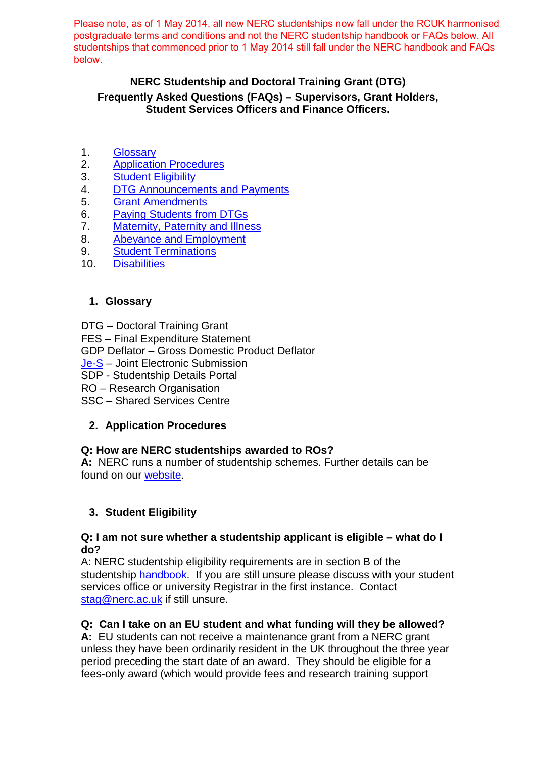Please note, as of 1 May 2014, all new NERC studentships now fall under the RCUK harmonised postgraduate terms and conditions and not the NERC studentship handbook or FAQs below. All studentships that commenced prior to 1 May 2014 still fall under the NERC handbook and FAQs below.

# **NERC Studentship and Doctoral Training Grant (DTG) Frequently Asked Questions (FAQs) – Supervisors, Grant Holders, Student Services Officers and Finance Officers.**

- 1. [Glossary](#page-0-0)
- 2. [Application Procedures](#page-0-1)
- 3. [Student Eligibility](#page-0-2)
- 4. [DTG Announcements and Payments](#page-1-0)<br>5. Grant Amendments
- **[Grant Amendments](#page-2-0)**
- 6. [Paying Students from DTGs](#page-2-1)
- 7. [Maternity, Paternity](#page-3-0) and Illness
- 8. Abeyance [and Employment](#page-3-1)
- 9. **[Student Terminations](#page-3-1)**<br>10. **Disabilities**
- **[Disabilities](#page-5-0)**

# <span id="page-0-0"></span>**1. Glossary**

- DTG Doctoral Training Grant
- FES Final Expenditure Statement

GDP Deflator – Gross Domestic Product Deflator

- [Je-S](https://je-s.rcuk.ac.uk/Jes2WebLoginSite/login.aspx)  Joint Electronic Submission
- SDP Studentship Details Portal
- RO Research Organisation
- SSC Shared Services Centre

# <span id="page-0-1"></span>**2. Application Procedures**

# **Q: How are NERC studentships awarded to ROs?**

**A:** NERC runs a number of studentship schemes. Further details can be found on our [website.](http://www.nerc.ac.uk/skills/postgrad/)

# <span id="page-0-2"></span>**3. Student Eligibility**

#### **Q: I am not sure whether a studentship applicant is eligible – what do I do?**

A: NERC studentship eligibility requirements are in section B of the studentship [handbook.](http://www.nerc.ac.uk/skills/postgrad/currentstudents/info/) If you are still unsure please discuss with your student services office or university Registrar in the first instance. Contact [stag@nerc.ac.uk](mailto:stag@nerc.ac.uk) if still unsure.

# **Q: Can I take on an EU student and what funding will they be allowed?**

**A:** EU students can not receive a maintenance grant from a NERC grant unless they have been ordinarily resident in the UK throughout the three year period preceding the start date of an award. They should be eligible for a fees-only award (which would provide fees and research training support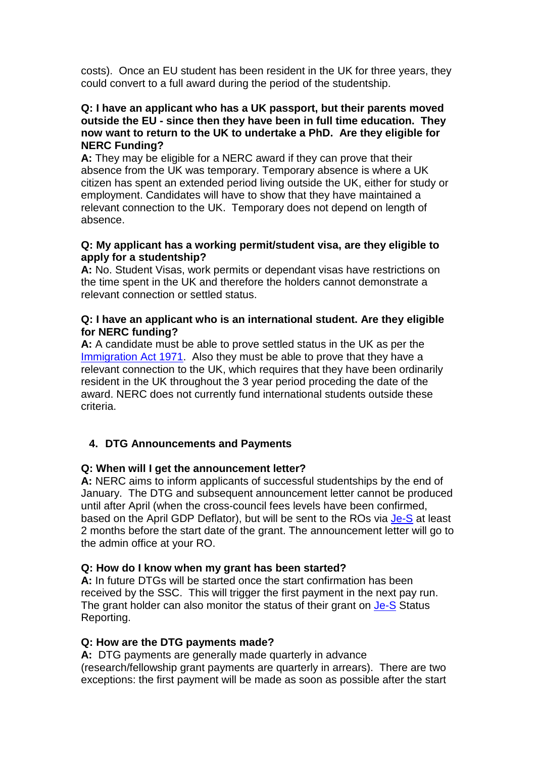costs). Once an EU student has been resident in the UK for three years, they could convert to a full award during the period of the studentship.

#### **Q: I have an applicant who has a UK passport, but their parents moved outside the EU - since then they have been in full time education. They now want to return to the UK to undertake a PhD. Are they eligible for NERC Funding?**

**A:** They may be eligible for a NERC award if they can prove that their absence from the UK was temporary. Temporary absence is where a UK citizen has spent an extended period living outside the UK, either for study or employment. Candidates will have to show that they have maintained a relevant connection to the UK. Temporary does not depend on length of absence.

#### **Q: My applicant has a working permit/student visa, are they eligible to apply for a studentship?**

**A:** No. Student Visas, work permits or dependant visas have restrictions on the time spent in the UK and therefore the holders cannot demonstrate a relevant connection or settled status.

#### **Q: I have an applicant who is an international student. Are they eligible for NERC funding?**

**A:** A candidate must be able to prove settled status in the UK as per the [Immigration Act 1971.](http://www.legislation.gov.uk/ukpga/1971/77/contents) Also they must be able to prove that they have a relevant connection to the UK, which requires that they have been ordinarily resident in the UK throughout the 3 year period proceding the date of the award. NERC does not currently fund international students outside these criteria.

# <span id="page-1-0"></span>**4. DTG Announcements and Payments**

#### **Q: When will I get the announcement letter?**

**A:** NERC aims to inform applicants of successful studentships by the end of January. The DTG and subsequent announcement letter cannot be produced until after April (when the cross-council fees levels have been confirmed, based on the April GDP Deflator), but will be sent to the ROs via [Je-S](https://je-s.rcuk.ac.uk/Jes2WebLoginSite/login.aspx) at least 2 months before the start date of the grant. The announcement letter will go to the admin office at your RO.

#### **Q: How do I know when my grant has been started?**

**A:** In future DTGs will be started once the start confirmation has been received by the SSC. This will trigger the first payment in the next pay run. The grant holder can also monitor the status of their grant on [Je-S](https://je-s.rcuk.ac.uk/Jes2WebLoginSite/login.aspx) Status Reporting.

#### **Q: How are the DTG payments made?**

**A:** DTG payments are generally made quarterly in advance (research/fellowship grant payments are quarterly in arrears). There are two exceptions: the first payment will be made as soon as possible after the start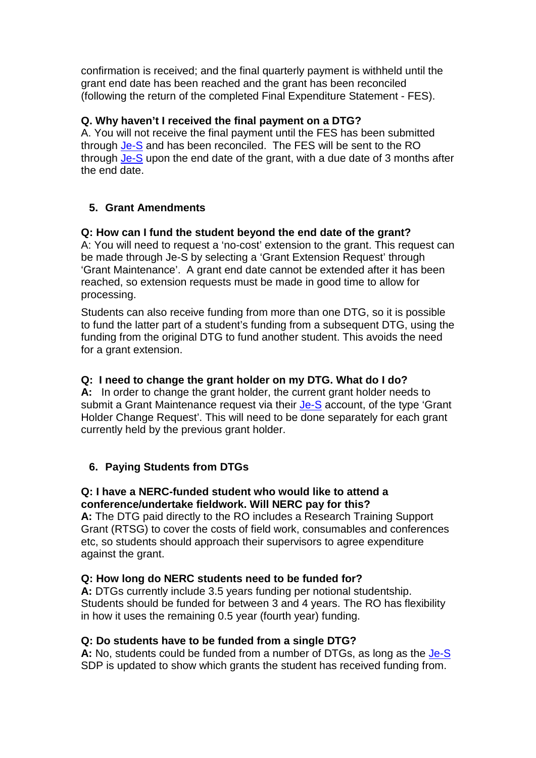confirmation is received; and the final quarterly payment is withheld until the grant end date has been reached and the grant has been reconciled (following the return of the completed Final Expenditure Statement - FES).

# **Q. Why haven't I received the final payment on a DTG?**

A. You will not receive the final payment until the FES has been submitted through [Je-S](https://je-s.rcuk.ac.uk/Jes2WebLoginSite/login.aspx) and has been reconciled. The FES will be sent to the RO through [Je-S](https://je-s.rcuk.ac.uk/Jes2WebLoginSite/login.aspx) upon the end date of the grant, with a due date of 3 months after the end date.

# <span id="page-2-0"></span>**5. Grant Amendments**

### **Q: How can I fund the student beyond the end date of the grant?**

A: You will need to request a 'no-cost' extension to the grant. This request can be made through [Je-S](https://je-s.rcuk.ac.uk/Jes2WebLoginSite/login.aspx) by selecting a 'Grant Extension Request' through 'Grant Maintenance'. A grant end date cannot be extended after it has been reached, so extension requests must be made in good time to allow for processing.

Students can also receive funding from more than one DTG, so it is possible to fund the latter part of a student's funding from a subsequent DTG, using the funding from the original DTG to fund another student. This avoids the need for a grant extension.

#### **Q: I need to change the grant holder on my DTG. What do I do?**

**A:** In order to change the grant holder, the current grant holder needs to submit a Grant Maintenance request via their [Je-S](https://je-s.rcuk.ac.uk/Jes2WebLoginSite/login.aspx) account, of the type 'Grant Holder Change Request'. This will need to be done separately for each grant currently held by the previous grant holder.

#### <span id="page-2-1"></span>**6. Paying Students from DTGs**

#### **Q: I have a NERC-funded student who would like to attend a conference/undertake fieldwork. Will NERC pay for this?**

**A:** The DTG paid directly to the RO includes a Research Training Support Grant (RTSG) to cover the costs of field work, consumables and conferences etc, so students should approach their supervisors to agree expenditure against the grant.

#### **Q: How long do NERC students need to be funded for?**

**A:** DTGs currently include 3.5 years funding per notional studentship. Students should be funded for between 3 and 4 years. The RO has flexibility in how it uses the remaining 0.5 year (fourth year) funding.

#### **Q: Do students have to be funded from a single DTG?**

**A:** No, students could be funded from a number of DTGs, as long as the [Je-S](https://je-s.rcuk.ac.uk/Jes2WebLoginSite/login.aspx) SDP is updated to show which grants the student has received funding from.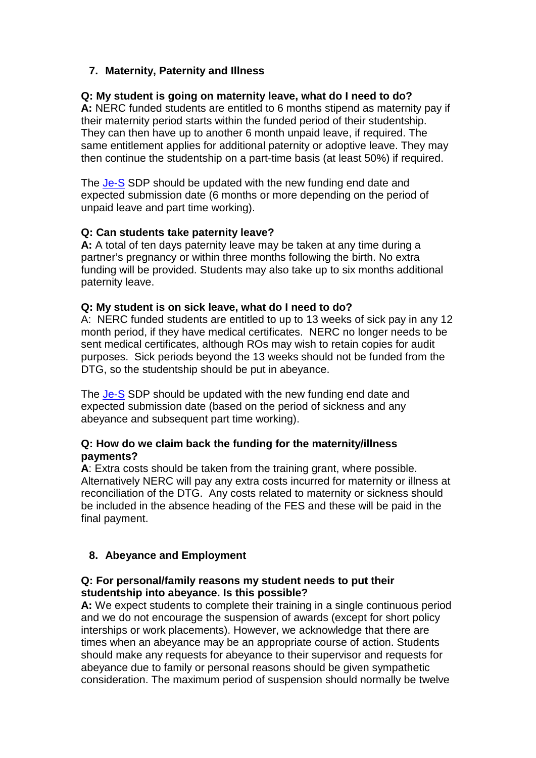# <span id="page-3-0"></span>**7. Maternity, Paternity and Illness**

### **Q: My student is going on maternity leave, what do I need to do?**

**A:** NERC funded students are entitled to 6 months stipend as maternity pay if their maternity period starts within the funded period of their studentship. They can then have up to another 6 month unpaid leave, if required. The same entitlement applies for additional paternity or adoptive leave. They may then continue the studentship on a part-time basis (at least 50%) if required.

The [Je-S](https://je-s.rcuk.ac.uk/Jes2WebLoginSite/login.aspx) SDP should be updated with the new funding end date and expected submission date (6 months or more depending on the period of unpaid leave and part time working).

### **Q: Can students take paternity leave?**

**A:** A total of ten days paternity leave may be taken at any time during a partner's pregnancy or within three months following the birth. No extra funding will be provided. Students may also take up to six months additional paternity leave.

#### **Q: My student is on sick leave, what do I need to do?**

A: NERC funded students are entitled to up to 13 weeks of sick pay in any 12 month period, if they have medical certificates. NERC no longer needs to be sent medical certificates, although ROs may wish to retain copies for audit purposes. Sick periods beyond the 13 weeks should not be funded from the DTG, so the studentship should be put in abeyance.

The [Je-S](https://je-s.rcuk.ac.uk/Jes2WebLoginSite/login.aspx) SDP should be updated with the new funding end date and expected submission date (based on the period of sickness and any abeyance and subsequent part time working).

#### **Q: How do we claim back the funding for the maternity/illness payments?**

**A**: Extra costs should be taken from the training grant, where possible. Alternatively NERC will pay any extra costs incurred for maternity or illness at reconciliation of the DTG. Any costs related to maternity or sickness should be included in the absence heading of the FES and these will be paid in the final payment.

# <span id="page-3-1"></span>**8. Abeyance and Employment**

#### **Q: For personal/family reasons my student needs to put their studentship into abeyance. Is this possible?**

**A:** We expect students to complete their training in a single continuous period and we do not encourage the suspension of awards (except for short policy interships or work placements). However, we acknowledge that there are times when an abeyance may be an appropriate course of action. Students should make any requests for abeyance to their supervisor and requests for abeyance due to family or personal reasons should be given sympathetic consideration. The maximum period of suspension should normally be twelve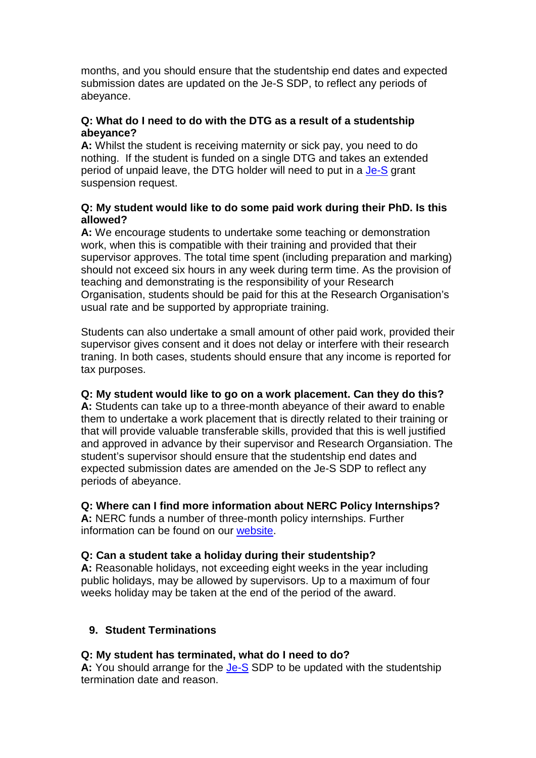months, and you should ensure that the studentship end dates and expected submission dates are updated on the Je-S SDP, to reflect any periods of abeyance.

### **Q: What do I need to do with the DTG as a result of a studentship abeyance?**

**A:** Whilst the student is receiving maternity or sick pay, you need to do nothing. If the student is funded on a single DTG and takes an extended period of unpaid leave, the DTG holder will need to put in a [Je-S](https://je-s.rcuk.ac.uk/Jes2WebLoginSite/login.aspx) grant suspension request.

### **Q: My student would like to do some paid work during their PhD. Is this allowed?**

**A:** We encourage students to undertake some teaching or demonstration work, when this is compatible with their training and provided that their supervisor approves. The total time spent (including preparation and marking) should not exceed six hours in any week during term time. As the provision of teaching and demonstrating is the responsibility of your Research Organisation, students should be paid for this at the Research Organisation's usual rate and be supported by appropriate training.

Students can also undertake a small amount of other paid work, provided their supervisor gives consent and it does not delay or interfere with their research traning. In both cases, students should ensure that any income is reported for tax purposes.

# **Q: My student would like to go on a work placement. Can they do this?**

**A:** Students can take up to a three-month abeyance of their award to enable them to undertake a work placement that is directly related to their training or that will provide valuable transferable skills, provided that this is well justified and approved in advance by their supervisor and Research Organsiation. The student's supervisor should ensure that the studentship end dates and expected submission dates are amended on the Je-S SDP to reflect any periods of abeyance.

# **Q: Where can I find more information about NERC Policy Internships?**

**A:** NERC funds a number of three-month policy internships. Further information can be found on our [website.](http://www.nerc.ac.uk/funding/available/postgrad/advanced/)

# **Q: Can a student take a holiday during their studentship?**

**A:** Reasonable holidays, not exceeding eight weeks in the year including public holidays, may be allowed by supervisors. Up to a maximum of four weeks holiday may be taken at the end of the period of the award.

# **9. Student Terminations**

# **Q: My student has terminated, what do I need to do?**

**A:** You should arrange for the [Je-S](https://je-s.rcuk.ac.uk/Jes2WebLoginSite/login.aspx) SDP to be updated with the studentship termination date and reason.